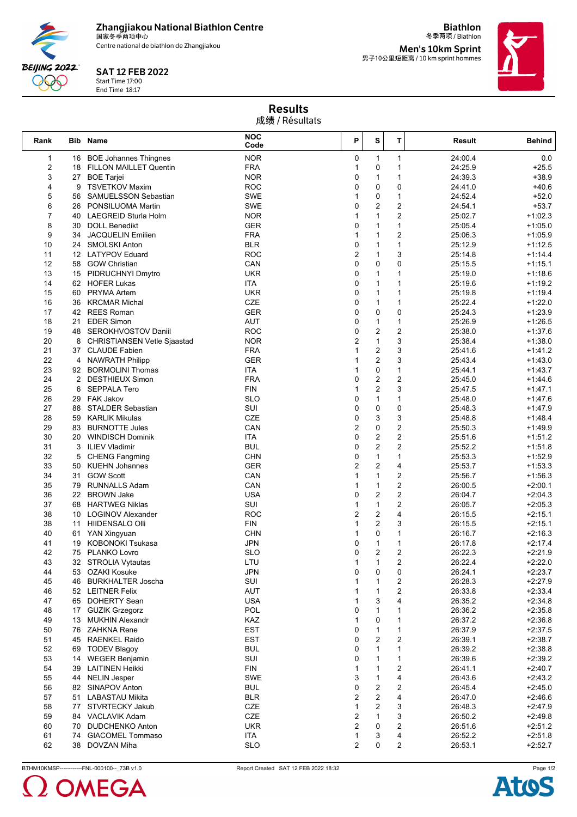**Zhangjiakou National Biathlon Centre** 国家冬季两项中心

Centre national de biathlon de Zhangjiakou

## SAT 12 FEB 2022

Start Time 17:00 End Time 18:17

**BEIJING 2022** 990

冬季两项 / Biathlon **Men's 10km Sprint<br><sub>男子10公里短距离 / 10 km sprint hommes**</sub>

**Biathlon**



## Results 成绩 / Résultats

| Rank           |              | <b>Bib Name</b>                                              | <b>NOC</b><br>Code       | P                   | S                       | T                 | Result             | Behind                 |
|----------------|--------------|--------------------------------------------------------------|--------------------------|---------------------|-------------------------|-------------------|--------------------|------------------------|
| $\mathbf{1}$   |              | 16 BOE Johannes Thingnes                                     | <b>NOR</b>               | 0                   | $\mathbf{1}$            | $\mathbf{1}$      | 24:00.4            | 0.0                    |
| 2              |              | 18 FILLON MAILLET Quentin                                    | <b>FRA</b>               | $\mathbf{1}$        | 0                       | 1                 | 24:25.9            | $+25.5$                |
| 3              |              | 27 BOE Tarjei                                                | <b>NOR</b>               | 0                   | $\mathbf{1}$            | $\mathbf{1}$      | 24:39.3            | $+38.9$                |
| 4              | 9            | <b>TSVETKOV Maxim</b>                                        | <b>ROC</b>               | 0                   | $\mathbf 0$             | 0                 | 24:41.0            | $+40.6$                |
| 5              | 56           | SAMUELSSON Sebastian                                         | <b>SWE</b>               | 1                   | 0                       | $\mathbf{1}$      | 24:52.4            | $+52.0$                |
| 6              | 26           | PONSILUOMA Martin                                            | <b>SWE</b>               | 0                   | $\overline{c}$          | 2                 | 24:54.1            | $+53.7$                |
| $\overline{7}$ |              | 40 LAEGREID Sturla Holm                                      | <b>NOR</b>               | 1                   | $\mathbf{1}$            | $\overline{c}$    | 25:02.7            | $+1:02.3$              |
| 8              | 30           | <b>DOLL Benedikt</b>                                         | GER                      | 0                   | $\mathbf{1}$            | 1                 | 25:05.4            | $+1:05.0$              |
| 9              |              | 34 JACQUELIN Emilien                                         | <b>FRA</b>               | 1                   | $\mathbf{1}$            | $\overline{c}$    | 25:06.3            | $+1:05.9$              |
| 10             |              | 24 SMOLSKI Anton                                             | <b>BLR</b>               | 0                   | $\mathbf{1}$            | $\mathbf{1}$      | 25:12.9            | +1:12.5                |
| 11             |              | 12 LATYPOV Eduard                                            | <b>ROC</b>               | $\overline{2}$      | $\mathbf{1}$            | 3                 | 25:14.8            | $+1:14.4$              |
| 12             | 58           | <b>GOW Christian</b>                                         | CAN                      | 0                   | 0                       | 0                 | 25:15.5            | $+1:15.1$              |
| 13             |              | 15 PIDRUCHNYI Dmytro                                         | <b>UKR</b>               | 0                   | $\mathbf{1}$            | 1                 | 25:19.0            | $+1:18.6$              |
| 14             |              | 62 HOFER Lukas                                               | ITA                      | 0                   | $\mathbf{1}$            | 1                 | 25:19.6            | $+1:19.2$              |
| 15             | 60           | <b>PRYMA Artem</b>                                           | <b>UKR</b>               | 0                   | $\mathbf{1}$            | 1                 | 25:19.8            | $+1:19.4$              |
| 16             |              | 36 KRCMAR Michal                                             | CZE                      | 0<br>0              | $\mathbf{1}$<br>0       | $\mathbf{1}$<br>0 | 25:22.4            | $+1:22.0$              |
| 17<br>18       |              | 42 REES Roman<br><b>EDER Simon</b>                           | <b>GER</b><br>AUT        | 0                   | $\mathbf{1}$            | $\mathbf{1}$      | 25:24.3<br>25:26.9 | $+1:23.9$<br>$+1:26.5$ |
|                | 21           |                                                              |                          | 0                   |                         |                   | 25:38.0            | $+1:37.6$              |
| 19<br>20       |              | 48 SEROKHVOSTOV Daniil<br><b>CHRISTIANSEN Vetle Sjaastad</b> | <b>ROC</b><br><b>NOR</b> | $\overline{2}$      | 2<br>$\mathbf{1}$       | 2<br>3            | 25:38.4            | $+1:38.0$              |
| 21             | 8            | 37 CLAUDE Fabien                                             | <b>FRA</b>               | 1                   | 2                       | 3                 | 25:41.6            | $+1:41.2$              |
| 22             |              | 4 NAWRATH Philipp                                            | <b>GER</b>               | 1                   | $\overline{c}$          | 3                 | 25:43.4            | $+1:43.0$              |
| 23             |              | 92 BORMOLINI Thomas                                          | ITA                      | 1                   | $\mathbf 0$             | $\mathbf{1}$      | 25:44.1            | +1:43.7                |
| 24             | $\mathbf{2}$ | <b>DESTHIEUX Simon</b>                                       | <b>FRA</b>               | 0                   | $\overline{c}$          | 2                 | 25:45.0            | $+1:44.6$              |
| 25             | 6            | <b>SEPPALA Tero</b>                                          | <b>FIN</b>               | 1                   | $\overline{\mathbf{c}}$ | 3                 | 25:47.5            | $+1:47.1$              |
| 26             | 29           | FAK Jakov                                                    | <b>SLO</b>               | 0                   | $\mathbf{1}$            | $\mathbf{1}$      | 25:48.0            | $+1:47.6$              |
| 27             | 88           | <b>STALDER Sebastian</b>                                     | SUI                      | 0                   | $\mathbf 0$             | 0                 | 25:48.3            | $+1:47.9$              |
| 28             |              | 59 KARLIK Mikulas                                            | <b>CZE</b>               | 0                   | 3                       | 3                 | 25:48.8            | $+1:48.4$              |
| 29             |              | 83 BURNOTTE Jules                                            | CAN                      | $\overline{2}$      | $\mathbf 0$             | 2                 | 25:50.3            | +1:49.9                |
| 30             |              | 20 WINDISCH Dominik                                          | <b>ITA</b>               | 0                   | $\overline{\mathbf{c}}$ | $\boldsymbol{2}$  | 25:51.6            | $+1:51.2$              |
| 31             | 3            | <b>ILIEV Vladimir</b>                                        | <b>BUL</b>               | 0                   | $\overline{c}$          | 2                 | 25:52.2            | $+1:51.8$              |
| 32             | 5            | <b>CHENG Fangming</b>                                        | <b>CHN</b>               | 0                   | $\mathbf{1}$            | $\mathbf{1}$      | 25:53.3            | $+1:52.9$              |
| 33             |              | 50 KUEHN Johannes                                            | <b>GER</b>               | $\overline{2}$      | $\overline{c}$          | 4                 | 25:53.7            | $+1:53.3$              |
| 34             | 31           | <b>GOW Scott</b>                                             | CAN                      | 1                   | $\mathbf{1}$            | 2                 | 25:56.7            | $+1:56.3$              |
| 35             | 79           | <b>RUNNALLS Adam</b>                                         | CAN                      | 1                   | $\mathbf{1}$            | 2                 | 26:00.5            | $+2:00.1$              |
| 36             | 22           | <b>BROWN Jake</b>                                            | <b>USA</b>               | 0                   | $\overline{c}$          | 2                 | 26:04.7            | $+2:04.3$              |
| 37             |              | 68 HARTWEG Niklas                                            | SUI                      | 1                   | $\mathbf{1}$            | 2                 | 26:05.7            | $+2:05.3$              |
| 38             |              | 10 LOGINOV Alexander                                         | <b>ROC</b>               | $\overline{2}$      | $\overline{c}$          | 4                 | 26:15.5            | $+2:15.1$              |
| 38             | 11           | <b>HIIDENSALO OIII</b>                                       | <b>FIN</b>               | 1                   | $\overline{c}$          | 3                 | 26:15.5            | $+2:15.1$              |
| 40             |              | 61 YAN Xingyuan                                              | <b>CHN</b>               | 1                   | 0                       | 1                 | 26:16.7            | $+2:16.3$              |
| 41             | 19           | <b>KOBONOKI Tsukasa</b>                                      | <b>JPN</b>               | 0                   | $\mathbf{1}$            | 1                 | 26:17.8            | $+2:17.4$              |
| 42             |              | 75 PLANKO Lovro                                              | <b>SLO</b>               | 0                   | $\overline{c}$          | 2                 | 26:22.3            | $+2:21.9$              |
| 43             | 32           | <b>STROLIA Vytautas</b>                                      | LTU                      | 1                   | 1                       | $\overline{c}$    | 26:22.4            | $+2:22.0$              |
| 44             | 53           | OZAKI Kosuke                                                 | <b>JPN</b>               | 0                   | 0                       | 0                 | 26:24.1            | $+2:23.7$              |
| 45             | 46           | <b>BURKHALTER Joscha</b>                                     | SUI                      | 1                   | $\mathbf{1}$            | 2                 | 26:28.3            | $+2:27.9$              |
| 46             |              | 52 LEITNER Felix                                             | AUT                      | 1                   | 1                       | 2                 | 26:33.8            | $+2:33.4$              |
| 47             |              | 65 DOHERTY Sean                                              | <b>USA</b>               | 1                   | 3                       | 4                 | 26:35.2            | $+2:34.8$              |
| 48             |              | 17 GUZIK Grzegorz                                            | POL                      | 0                   | 1                       | 1                 | 26:36.2            | $+2:35.8$              |
| 49             |              | 13 MUKHIN Alexandr                                           | <b>KAZ</b>               | 1                   | 0                       | 1                 | 26:37.2            | $+2:36.8$              |
| 50             |              | 76 ZAHKNA Rene                                               | <b>EST</b>               | 0                   | $\mathbf{1}$            | 1                 | 26:37.9            | $+2:37.5$              |
| 51             |              | 45 RAENKEL Raido                                             | <b>EST</b>               | 0                   | 2                       | 2                 | 26:39.1            | $+2:38.7$              |
| 52             |              | 69 TODEV Blagoy                                              | <b>BUL</b>               | 0                   | $\mathbf{1}$            | 1                 | 26:39.2            | $+2:38.8$              |
| 53             |              | 14 WEGER Benjamin                                            | SUI                      | 0                   | $\mathbf{1}$            | $\mathbf{1}$      | 26:39.6            | $+2:39.2$              |
| 54             |              | 39 LAITINEN Heikki                                           | <b>FIN</b>               | 1                   | 1                       | 2                 | 26:41.1            | $+2:40.7$              |
| 55             |              | 44 NELIN Jesper                                              | SWE                      | 3                   | $\mathbf{1}$            | 4                 | 26:43.6            | $+2:43.2$              |
| 56             |              | 82 SINAPOV Anton                                             | <b>BUL</b>               | 0                   | $\mathbf 2$             | 2                 | 26:45.4            | $+2:45.0$              |
| 57             |              | 51 LABASTAU Mikita                                           | <b>BLR</b>               | $\overline{2}$      | 2                       | 4                 | 26:47.0            | $+2:46.6$              |
| 58             |              | 77 STVRTECKY Jakub                                           | CZE                      | 1                   | 2<br>$\mathbf{1}$       | 3                 | 26:48.3            | $+2:47.9$              |
| 59             | 84           | <b>VACLAVIK Adam</b>                                         | CZE                      | $\overline{2}$      |                         | 3                 | 26:50.2            | $+2:49.8$              |
| 60             | 70           | <b>DUDCHENKO Anton</b>                                       | <b>UKR</b>               | $\overline{2}$      | 0                       | 2                 | 26:51.6            | $+2:51.2$              |
| 61<br>62       | 74           | <b>GIACOMEL Tommaso</b><br>DOVZAN Miha                       | <b>ITA</b><br><b>SLO</b> | 1<br>$\overline{2}$ | 3<br>0                  | 4<br>2            | 26:52.2<br>26:53.1 | $+2:51.8$<br>$+2:52.7$ |
|                | 38           |                                                              |                          |                     |                         |                   |                    |                        |

BTHM10KMSP-------------FNL-000100--\_73B v1.0 Report Created SAT 12 FEB 2022 18:32